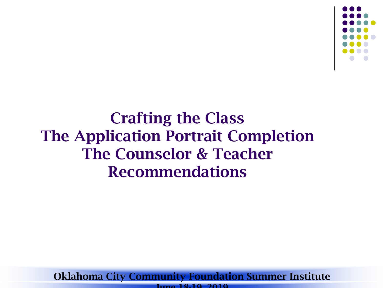

Crafting the Class The Application Portrait Completion The Counselor & Teacher Recommendations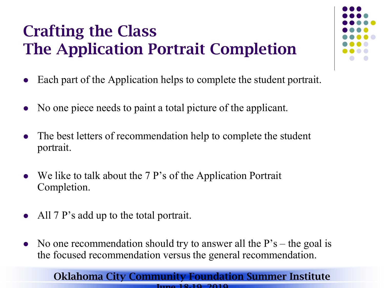# Crafting the Class The Application Portrait Completion

- Each part of the Application helps to complete the student portrait.
- No one piece needs to paint a total picture of the applicant.
- The best letters of recommendation help to complete the student portrait.
- We like to talk about the 7 P's of the Application Portrait Completion.
- All 7 P's add up to the total portrait.
- No one recommendation should try to answer all the  $P's$  the goal is the focused recommendation versus the general recommendation.

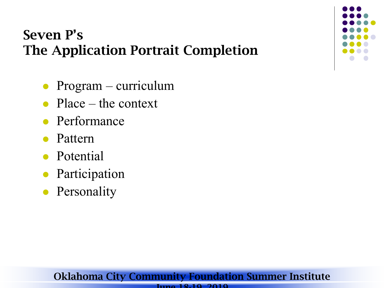# Seven P's The Application Portrait Completion

- Program curriculum
- Place the context
- Performance
- Pattern
- Potential
- Participation
- Personality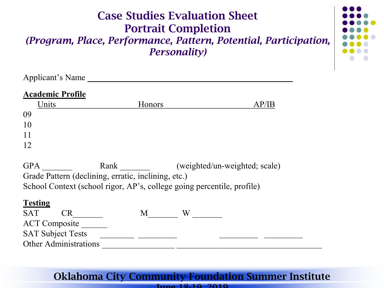| <b>Case Studies Evaluation Sheet</b><br><b>Portrait Completion</b><br>(Program, Place, Performance, Pattern, Potential, Participation,<br><i>Personality)</i> |        |       |  |  |
|---------------------------------------------------------------------------------------------------------------------------------------------------------------|--------|-------|--|--|
| Applicant's Name                                                                                                                                              |        |       |  |  |
| <b>Academic Profile</b>                                                                                                                                       |        |       |  |  |
| Units                                                                                                                                                         | Honors | AP/IB |  |  |
| 09                                                                                                                                                            |        |       |  |  |
| 10                                                                                                                                                            |        |       |  |  |
| 11                                                                                                                                                            |        |       |  |  |
| 12                                                                                                                                                            |        |       |  |  |

GPA Rank (weighted/un-weighted; scale) Grade Pattern (declining, erratic, inclining, etc.) School Context (school rigor, AP's, college going percentile, profile)

| <b>SAT</b>                   |  |  |  |
|------------------------------|--|--|--|
| <b>ACT</b> Composite         |  |  |  |
| <b>SAT Subject Tests</b>     |  |  |  |
| <b>Other Administrations</b> |  |  |  |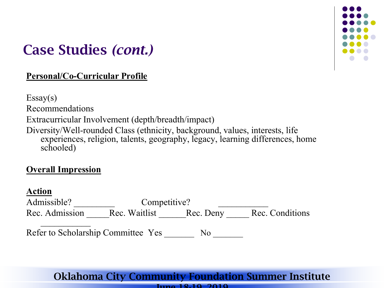

# Case Studies *(cont.)*

### **Personal/Co-Curricular Profile**

 $Essay(s)$ Recommendations Extracurricular Involvement (depth/breadth/impact) Diversity/Well-rounded Class (ethnicity, background, values, interests, life experiences, religion, talents, geography, legacy, learning differences, home schooled)

### **Overall Impression**

| 00 D<br>Π<br>H |  |
|----------------|--|
|                |  |
|                |  |

| Admissible?                        | Competitive? |    |                                         |
|------------------------------------|--------------|----|-----------------------------------------|
| Rec. Admission                     |              |    | Rec. Waitlist Rec. Deny Rec. Conditions |
| Refer to Scholarship Committee Yes |              | No |                                         |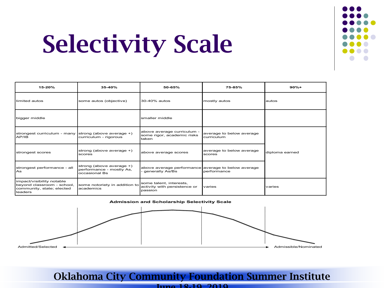

# Selectivity Scale

| 15-20%                                                                                          | 35-40%                                                                | 50-65%                                                                | 75-85%                                 | $90%+$         |
|-------------------------------------------------------------------------------------------------|-----------------------------------------------------------------------|-----------------------------------------------------------------------|----------------------------------------|----------------|
| limited autos                                                                                   | some autos (objective)                                                | 30-40% autos                                                          | mostly autos                           | autos          |
| bigger middle                                                                                   |                                                                       | <b>I</b> smaller middle                                               |                                        |                |
| strongest curriculum - many strong (above average +)<br>AP/IB                                   | curriculum - rigorous                                                 | above average curriculum -<br>some rigor, academic risks<br>taken     | average to below average<br>curriculum |                |
| strongest scores                                                                                | strong (above average +)<br>scores                                    | above average scores                                                  | average to below average<br>scores     | diploma earned |
| strongest performance - all<br>As                                                               | strong (above average +)<br>performance - mostly As,<br>occasional Bs | above average performance average to below average<br>generally As/Bs | performance                            |                |
| impact/visibility notable<br>beyond classroom - school,<br>community, state; elected<br>leaders | some notoriety in addition to<br>academics                            | some talent, interests,<br>activity with persistence or<br>passion    | varies                                 | varies         |

#### **Admission and Scholarship Selectivity Scale**



### Oklahoma City Community Foundation Summer Institute

June 18-19 2019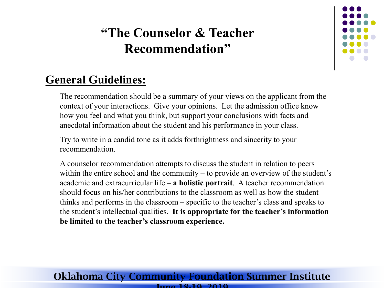

### **General Guidelines:**

The recommendation should be a summary of your views on the applicant from the context of your interactions. Give your opinions. Let the admission office know how you feel and what you think, but support your conclusions with facts and anecdotal information about the student and his performance in your class.

Try to write in a candid tone as it adds forthrightness and sincerity to your recommendation.

A counselor recommendation attempts to discuss the student in relation to peers within the entire school and the community – to provide an overview of the student's academic and extracurricular life – **a holistic portrait**. A teacher recommendation should focus on his/her contributions to the classroom as well as how the student thinks and performs in the classroom – specific to the teacher's class and speaks to the student's intellectual qualities. **It is appropriate for the teacher's information be limited to the teacher's classroom experience.**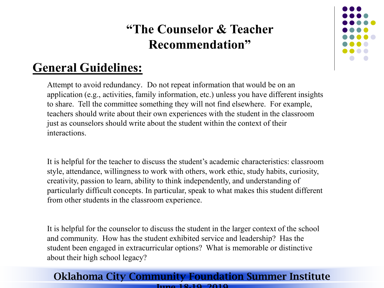### **General Guidelines:**

Attempt to avoid redundancy. Do not repeat information that would be on an application (e.g., activities, family information, etc.) unless you have different insights to share. Tell the committee something they will not find elsewhere. For example, teachers should write about their own experiences with the student in the classroom just as counselors should write about the student within the context of their interactions.

It is helpful for the teacher to discuss the student's academic characteristics: classroom style, attendance, willingness to work with others, work ethic, study habits, curiosity, creativity, passion to learn, ability to think independently, and understanding of particularly difficult concepts. In particular, speak to what makes this student different from other students in the classroom experience.

It is helpful for the counselor to discuss the student in the larger context of the school and community. How has the student exhibited service and leadership? Has the student been engaged in extracurricular options? What is memorable or distinctive about their high school legacy?

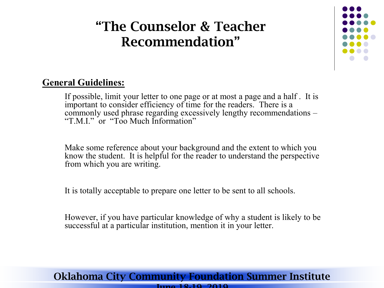

### **General Guidelines:**

If possible, limit your letter to one page or at most a page and a half . It is important to consider efficiency of time for the readers. There is a commonly used phrase regarding excessively lengthy recommendations – "T.M.I." or "Too Much Information"

Make some reference about your background and the extent to which you know the student. It is helpful for the reader to understand the perspective from which you are writing.

It is totally acceptable to prepare one letter to be sent to all schools.

However, if you have particular knowledge of why a student is likely to be successful at a particular institution, mention it in your letter.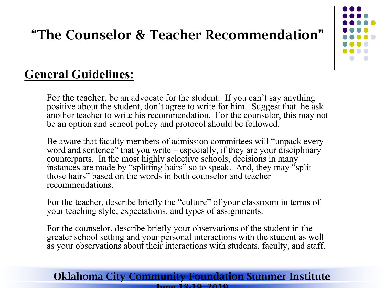

### **General Guidelines:**

For the teacher, be an advocate for the student. If you can't say anything positive about the student, don't agree to write for him. Suggest that he ask another teacher to write his recommendation. For the counselor, this may not be an option and school policy and protocol should be followed.

Be aware that faculty members of admission committees will "unpack every word and sentence" that you write – especially, if they are your disciplinary counterparts. In the most highly selective schools, decisions in many instances are made by "splitting hairs" so to speak. And, they may "split those hairs" based on the words in both counselor and teacher recommendations.

For the teacher, describe briefly the "culture" of your classroom in terms of your teaching style, expectations, and types of assignments.

For the counselor, describe briefly your observations of the student in the greater school setting and your personal interactions with the student as well as your observations about their interactions with students, faculty, and staff.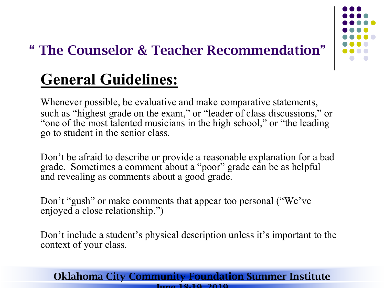

# **General Guidelines:**

Whenever possible, be evaluative and make comparative statements, such as "highest grade on the exam," or "leader of class discussions," or "one of the most talented musicians in the high school," or "the leading go to student in the senior class.

Don't be afraid to describe or provide a reasonable explanation for a bad grade. Sometimes a comment about a "poor" grade can be as helpful and revealing as comments about a good grade.

Don't "gush" or make comments that appear too personal ("We've enjoyed a close relationship.")

Don't include a student's physical description unless it's important to the context of your class.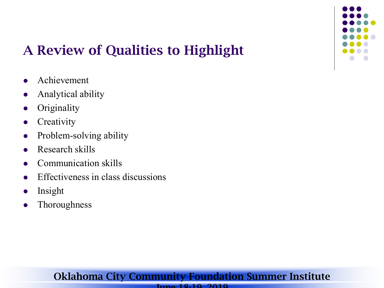

# A Review of Qualities to Highlight

- **•** Achievement
- Analytical ability
- **Originality**
- **•** Creativity
- Problem-solving ability
- Research skills
- Communication skills
- Effectiveness in class discussions
- Insight
- **Thoroughness**

### Oklahoma City Community Foundation Summer Institute

#### June 18-19 2019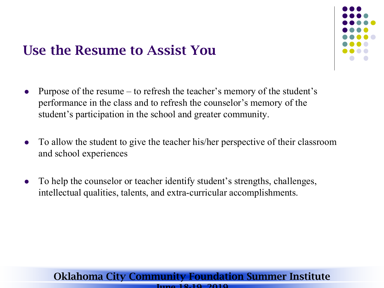# Use the Resume to Assist You



- Purpose of the resume to refresh the teacher's memory of the student's performance in the class and to refresh the counselor's memory of the student's participation in the school and greater community.
- To allow the student to give the teacher his/her perspective of their classroom and school experiences
- To help the counselor or teacher identify student's strengths, challenges, intellectual qualities, talents, and extra-curricular accomplishments.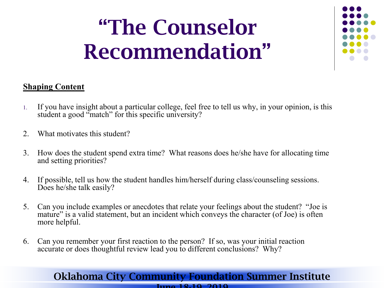# "The Counselor Recommendation"



### **Shaping Content**

- 1. If you have insight about a particular college, feel free to tell us why, in your opinion, is this student a good "match" for this specific university?
- 2. What motivates this student?
- 3. How does the student spend extra time? What reasons does he/she have for allocating time and setting priorities?
- 4. If possible, tell us how the student handles him/herself during class/counseling sessions. Does he/she talk easily?
- 5. Can you include examples or anecdotes that relate your feelings about the student? "Joe is mature" is a valid statement, but an incident which conveys the character (of Joe) is often more helpful.
- 6. Can you remember your first reaction to the person? If so, was your initial reaction accurate or does thoughtful review lead you to different conclusions? Why?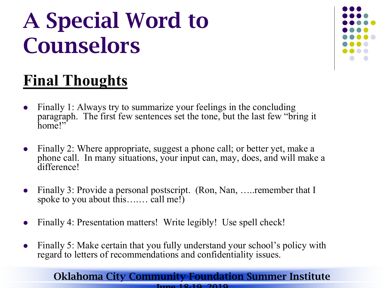# A Special Word to Counselors



# **Final Thoughts**

- Finally 1: Always try to summarize your feelings in the concluding paragraph. The first few sentences set the tone, but the last few "bring it home!"
- Finally 2: Where appropriate, suggest a phone call; or better yet, make a phone call. In many situations, your input can, may, does, and will make a difference!
- Finally 3: Provide a personal postscript. (Ron, Nan, …..remember that I spoke to you about this…... call me!)
- Finally 4: Presentation matters! Write legibly! Use spell check!
- Finally 5: Make certain that you fully understand your school's policy with regard to letters of recommendations and confidentiality issues.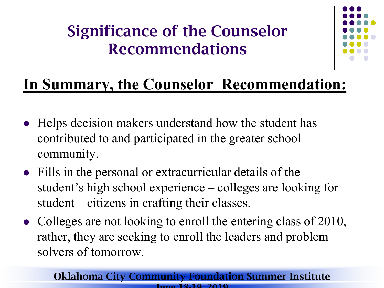# Significance of the Counselor Recommendations



# **In Summary, the Counselor Recommendation:**

- Helps decision makers understand how the student has contributed to and participated in the greater school community.
- Fills in the personal or extracurricular details of the student's high school experience – colleges are looking for student – citizens in crafting their classes.
- Colleges are not looking to enroll the entering class of 2010, rather, they are seeking to enroll the leaders and problem solvers of tomorrow.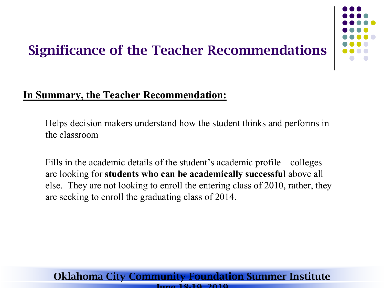# Significance of the Teacher Recommendations



### **In Summary, the Teacher Recommendation:**

Helps decision makers understand how the student thinks and performs in the classroom

Fills in the academic details of the student's academic profile—colleges are looking for **students who can be academically successful** above all else. They are not looking to enroll the entering class of 2010, rather, they are seeking to enroll the graduating class of 2014.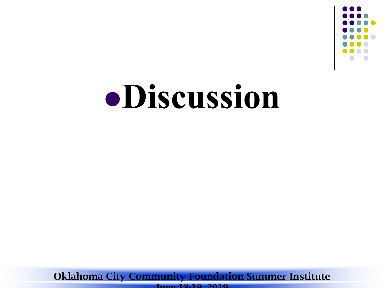

# **Discussion**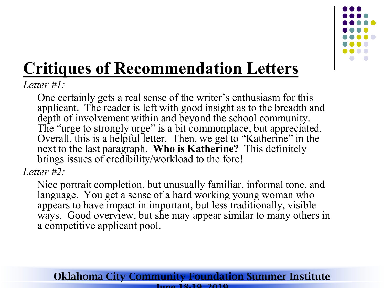

# **Critiques of Recommendation Letters**

*Letter #1:*

One certainly gets a real sense of the writer's enthusiasm for this applicant. The reader is left with good insight as to the breadth and depth of involvement within and beyond the school community. The "urge to strongly urge" is a bit commonplace, but appreciated. Overall, this is a helpful letter. Then, we get to "Katherine" in the next to the last paragraph. **Who is Katherine?** This definitely brings issues of credibility/workload to the fore!

*Letter #2:*

Nice portrait completion, but unusually familiar, informal tone, and language. You get a sense of a hard working young woman who appears to have impact in important, but less traditionally, visible ways. Good overview, but she may appear similar to many others in a competitive applicant pool.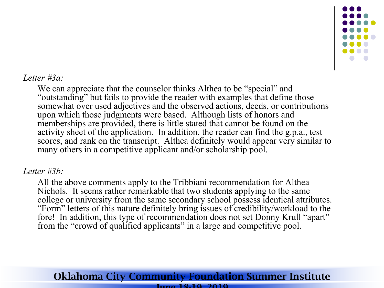

### *Letter #3a:*

We can appreciate that the counselor thinks Althea to be "special" and "outstanding" but fails to provide the reader with examples that define those somewhat over used adjectives and the observed actions, deeds, or contributions upon which those judgments were based. Although lists of honors and memberships are provided, there is little stated that cannot be found on the activity sheet of the application. In addition, the reader can find the g.p.a., test scores, and rank on the transcript. Althea definitely would appear very similar to many others in a competitive applicant and/or scholarship pool.

### *Letter #3b:*

All the above comments apply to the Tribbiani recommendation for Althea Nichols. It seems rather remarkable that two students applying to the same college or university from the same secondary school possess identical attributes. "Form" letters of this nature definitely bring issues of credibility/workload to the fore! In addition, this type of recommendation does not set Donny Krull "apart" from the "crowd of qualified applicants" in a large and competitive pool.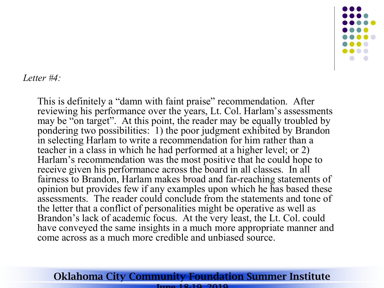

### *Letter #4:*

This is definitely a "damn with faint praise" recommendation. After reviewing his performance over the years, Lt. Col. Harlam's assessments may be "on target". At this point, the reader may be equally troubled by pondering two possibilities: 1) the poor judgment exhibited by Brandon in selecting Harlam to write a recommendation for him rather than a teacher in a class in which he had performed at a higher level; or 2) Harlam's recommendation was the most positive that he could hope to receive given his performance across the board in all classes. In all fairness to Brandon, Harlam makes broad and far-reaching statements of opinion but provides few if any examples upon which he has based these assessments. The reader could conclude from the statements and tone of the letter that a conflict of personalities might be operative as well as Brandon's lack of academic focus. At the very least, the Lt. Col. could have conveyed the same insights in a much more appropriate manner and come across as a much more credible and unbiased source.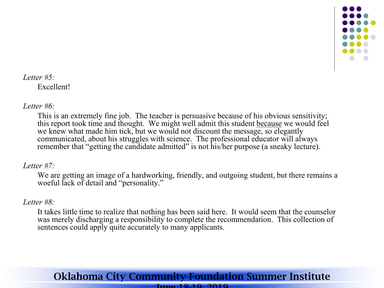

### *Letter #5:* Excellent!

### *Letter #6:*

This is an extremely fine job. The teacher is persuasive because of his obvious sensitivity; this report took time and thought. We might well admit this student because we would feel we knew what made him tick, but we would not discount the message, so elegantly communicated, about his struggles with science. The professional educator will always remember that "getting the candidate admitted" is not his/her purpose (a sneaky lecture).

### *Letter #7:*

We are getting an image of a hardworking, friendly, and outgoing student, but there remains a woeful lack of detail and "personality."

### *Letter #8:*

It takes little time to realize that nothing has been said here. It would seem that the counselor was merely discharging a responsibility to complete the recommendation. This collection of sentences could apply quite accurately to many applicants.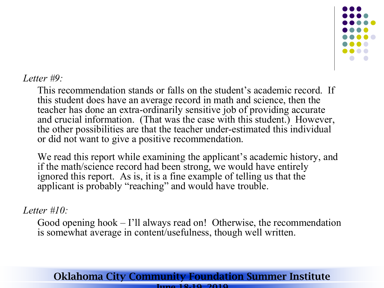

### *Letter #9:*

This recommendation stands or falls on the student's academic record. If this student does have an average record in math and science, then the teacher has done an extra-ordinarily sensitive job of providing accurate and crucial information. (That was the case with this student.) However, the other possibilities are that the teacher under-estimated this individual or did not want to give a positive recommendation.

We read this report while examining the applicant's academic history, and if the math/science record had been strong, we would have entirely ignored this report. As is, it is a fine example of telling us that the applicant is probably "reaching" and would have trouble.

### *Letter #10:*

Good opening hook – I'll always read on! Otherwise, the recommendation is somewhat average in content/usefulness, though well written.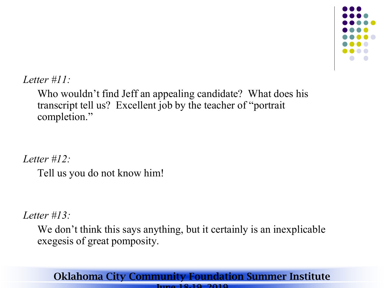

*Letter #11:*

Who wouldn't find Jeff an appealing candidate? What does his transcript tell us? Excellent job by the teacher of "portrait completion."

*Letter #12:* Tell us you do not know him!

*Letter #13:*

We don't think this says anything, but it certainly is an inexplicable exegesis of great pomposity.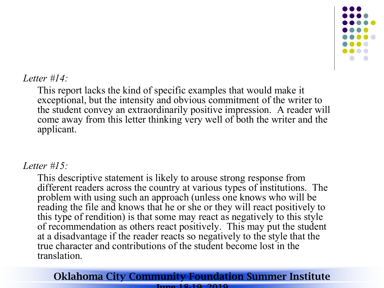

### *Letter #14:*

This report lacks the kind of specific examples that would make it exceptional, but the intensity and obvious commitment of the writer to the student convey an extraordinarily positive impression. A reader will come away from this letter thinking very well of both the writer and the applicant.

### *Letter #15:*

This descriptive statement is likely to arouse strong response from different readers across the country at various types of institutions. The problem with using such an approach (unless one knows who will be reading the file and knows that he or she or they will react positively to this type of rendition) is that some may react as negatively to this style of recommendation as others react positively. This may put the student at a disadvantage if the reader reacts so negatively to the style that the true character and contributions of the student become lost in the translation.